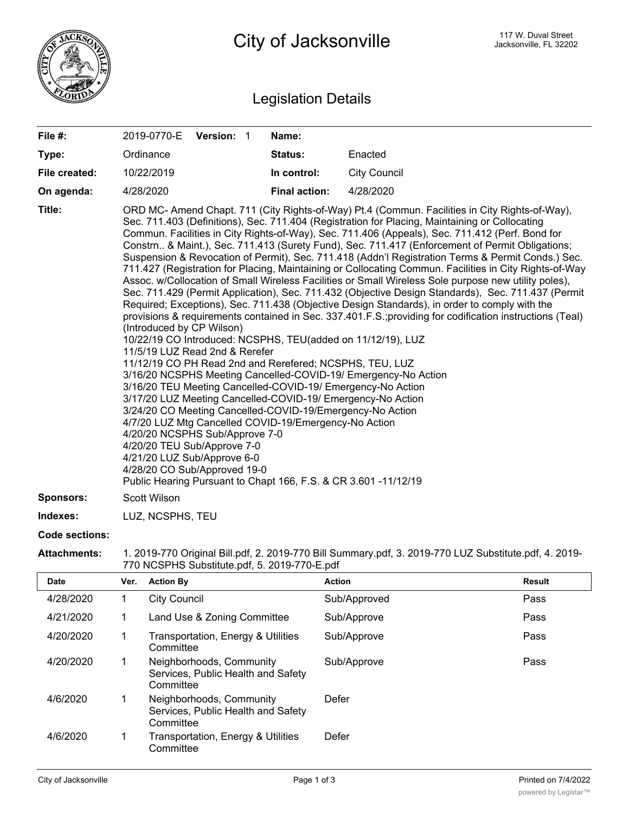

# Legislation Details

| File #:                    | 2019-0770-E Version: 1                                                                                                                                                                                             |  | Name:                                                                                                                                                                                                                                           |                                                                                                                                                                                                                                                                                                                                                                                                                                                                                                                                                                                                                                                                                                                                                                                                                                                                                                                                                                                                                                                                                                                                                                                                                                                                                                                 |
|----------------------------|--------------------------------------------------------------------------------------------------------------------------------------------------------------------------------------------------------------------|--|-------------------------------------------------------------------------------------------------------------------------------------------------------------------------------------------------------------------------------------------------|-----------------------------------------------------------------------------------------------------------------------------------------------------------------------------------------------------------------------------------------------------------------------------------------------------------------------------------------------------------------------------------------------------------------------------------------------------------------------------------------------------------------------------------------------------------------------------------------------------------------------------------------------------------------------------------------------------------------------------------------------------------------------------------------------------------------------------------------------------------------------------------------------------------------------------------------------------------------------------------------------------------------------------------------------------------------------------------------------------------------------------------------------------------------------------------------------------------------------------------------------------------------------------------------------------------------|
| Type:                      | Ordinance                                                                                                                                                                                                          |  | Status:                                                                                                                                                                                                                                         | Enacted                                                                                                                                                                                                                                                                                                                                                                                                                                                                                                                                                                                                                                                                                                                                                                                                                                                                                                                                                                                                                                                                                                                                                                                                                                                                                                         |
| File created:              | 10/22/2019                                                                                                                                                                                                         |  | In control:                                                                                                                                                                                                                                     | <b>City Council</b>                                                                                                                                                                                                                                                                                                                                                                                                                                                                                                                                                                                                                                                                                                                                                                                                                                                                                                                                                                                                                                                                                                                                                                                                                                                                                             |
| On agenda:                 | 4/28/2020                                                                                                                                                                                                          |  | <b>Final action:</b>                                                                                                                                                                                                                            | 4/28/2020                                                                                                                                                                                                                                                                                                                                                                                                                                                                                                                                                                                                                                                                                                                                                                                                                                                                                                                                                                                                                                                                                                                                                                                                                                                                                                       |
| Title:<br><b>Sponsors:</b> | (Introduced by CP Wilson)<br>11/5/19 LUZ Read 2nd & Rerefer<br>4/20/20 NCSPHS Sub/Approve 7-0<br>4/20/20 TEU Sub/Approve 7-0<br>4/21/20 LUZ Sub/Approve 6-0<br>4/28/20 CO Sub/Approved 19-0<br><b>Scott Wilson</b> |  | 11/12/19 CO PH Read 2nd and Rerefered; NCSPHS, TEU, LUZ<br>3/24/20 CO Meeting Cancelled-COVID-19/Emergency-No Action<br>4/7/20 LUZ Mtg Cancelled COVID-19/Emergency-No Action<br>Public Hearing Pursuant to Chapt 166, F.S. & CR 3.601-11/12/19 | ORD MC- Amend Chapt. 711 (City Rights-of-Way) Pt.4 (Commun. Facilities in City Rights-of-Way),<br>Sec. 711.403 (Definitions), Sec. 711.404 (Registration for Placing, Maintaining or Collocating<br>Commun. Facilities in City Rights-of-Way), Sec. 711.406 (Appeals), Sec. 711.412 (Perf. Bond for<br>Constrn & Maint.), Sec. 711.413 (Surety Fund), Sec. 711.417 (Enforcement of Permit Obligations;<br>Suspension & Revocation of Permit), Sec. 711.418 (Addn'l Registration Terms & Permit Conds.) Sec.<br>711.427 (Registration for Placing, Maintaining or Collocating Commun. Facilities in City Rights-of-Way<br>Assoc. w/Collocation of Small Wireless Facilities or Small Wireless Sole purpose new utility poles),<br>Sec. 711.429 (Permit Application), Sec. 711.432 (Objective Design Standards), Sec. 711.437 (Permit<br>Required; Exceptions), Sec. 711.438 (Objective Design Standards), in order to comply with the<br>provisions & requirements contained in Sec. 337.401.F.S.; providing for codification instructions (Teal)<br>10/22/19 CO Introduced: NCSPHS, TEU(added on 11/12/19), LUZ<br>3/16/20 NCSPHS Meeting Cancelled-COVID-19/ Emergency-No Action<br>3/16/20 TEU Meeting Cancelled-COVID-19/ Emergency-No Action<br>3/17/20 LUZ Meeting Cancelled-COVID-19/ Emergency-No Action |
|                            |                                                                                                                                                                                                                    |  |                                                                                                                                                                                                                                                 |                                                                                                                                                                                                                                                                                                                                                                                                                                                                                                                                                                                                                                                                                                                                                                                                                                                                                                                                                                                                                                                                                                                                                                                                                                                                                                                 |

**Indexes:** LUZ, NCSPHS, TEU

#### **Code sections:**

### **Attachments:** 1. 2019-770 Original Bill.pdf, 2. 2019-770 Bill Summary.pdf, 3. 2019-770 LUZ Substitute.pdf, 4. 2019- 770 NCSPHS Substitute.pdf, 5. 2019-770-E.pdf

| <b>Date</b> | Ver. | <b>Action By</b>                                                            | <b>Action</b> | Result |
|-------------|------|-----------------------------------------------------------------------------|---------------|--------|
| 4/28/2020   |      | <b>City Council</b>                                                         | Sub/Approved  | Pass   |
| 4/21/2020   |      | Land Use & Zoning Committee                                                 | Sub/Approve   | Pass   |
| 4/20/2020   |      | Transportation, Energy & Utilities<br>Committee                             | Sub/Approve   | Pass   |
| 4/20/2020   |      | Neighborhoods, Community<br>Services, Public Health and Safety<br>Committee | Sub/Approve   | Pass   |
| 4/6/2020    |      | Neighborhoods, Community<br>Services, Public Health and Safety<br>Committee | Defer         |        |
| 4/6/2020    |      | Transportation, Energy & Utilities<br>Committee                             | Defer         |        |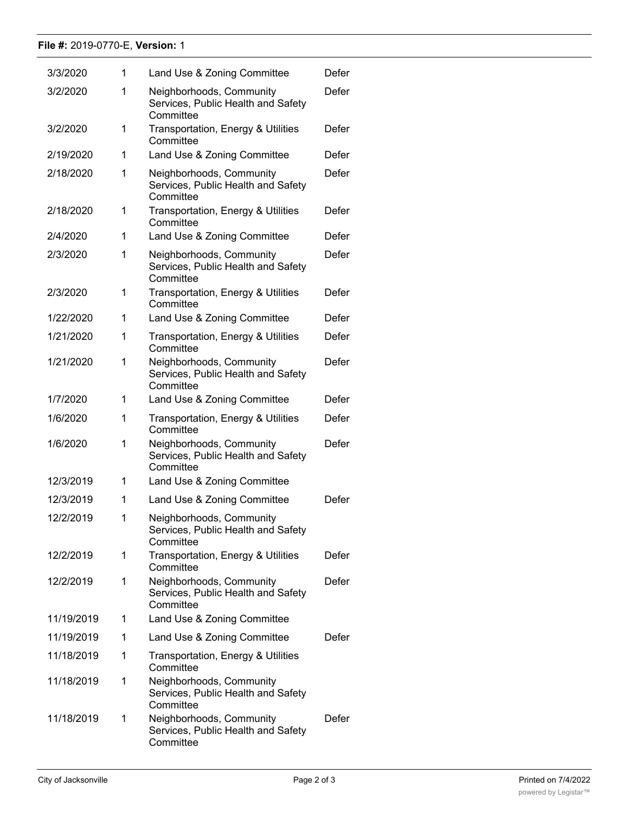## **File #:** 2019-0770-E, **Version:** 1

| 3/3/2020   | 1 | Land Use & Zoning Committee                                                 | Defer |
|------------|---|-----------------------------------------------------------------------------|-------|
| 3/2/2020   | 1 | Neighborhoods, Community<br>Services, Public Health and Safety<br>Committee | Defer |
| 3/2/2020   | 1 | Transportation, Energy & Utilities<br>Committee                             | Defer |
| 2/19/2020  | 1 | Land Use & Zoning Committee                                                 | Defer |
| 2/18/2020  | 1 | Neighborhoods, Community<br>Services, Public Health and Safety<br>Committee | Defer |
| 2/18/2020  | 1 | Transportation, Energy & Utilities<br>Committee                             | Defer |
| 2/4/2020   | 1 | Land Use & Zoning Committee                                                 | Defer |
| 2/3/2020   | 1 | Neighborhoods, Community<br>Services, Public Health and Safety<br>Committee | Defer |
| 2/3/2020   | 1 | Transportation, Energy & Utilities<br>Committee                             | Defer |
| 1/22/2020  | 1 | Land Use & Zoning Committee                                                 | Defer |
| 1/21/2020  | 1 | Transportation, Energy & Utilities<br>Committee                             | Defer |
| 1/21/2020  | 1 | Neighborhoods, Community<br>Services, Public Health and Safety<br>Committee | Defer |
| 1/7/2020   | 1 | Land Use & Zoning Committee                                                 | Defer |
| 1/6/2020   | 1 | Transportation, Energy & Utilities<br>Committee                             | Defer |
| 1/6/2020   | 1 | Neighborhoods, Community<br>Services, Public Health and Safety<br>Committee | Defer |
| 12/3/2019  | 1 | Land Use & Zoning Committee                                                 |       |
| 12/3/2019  | 1 | Land Use & Zoning Committee                                                 | Defer |
| 12/2/2019  | 1 | Neighborhoods, Community<br>Services, Public Health and Safety<br>Committee |       |
| 12/2/2019  | 1 | Transportation, Energy & Utilities<br>Committee                             | Defer |
| 12/2/2019  | 1 | Neighborhoods, Community<br>Services, Public Health and Safety<br>Committee | Defer |
| 11/19/2019 | 1 | Land Use & Zoning Committee                                                 |       |
| 11/19/2019 | 1 | Land Use & Zoning Committee                                                 | Defer |
| 11/18/2019 | 1 | Transportation, Energy & Utilities<br>Committee                             |       |
| 11/18/2019 | 1 | Neighborhoods, Community<br>Services, Public Health and Safety<br>Committee |       |
| 11/18/2019 | 1 | Neighborhoods, Community<br>Services, Public Health and Safety<br>Committee | Defer |